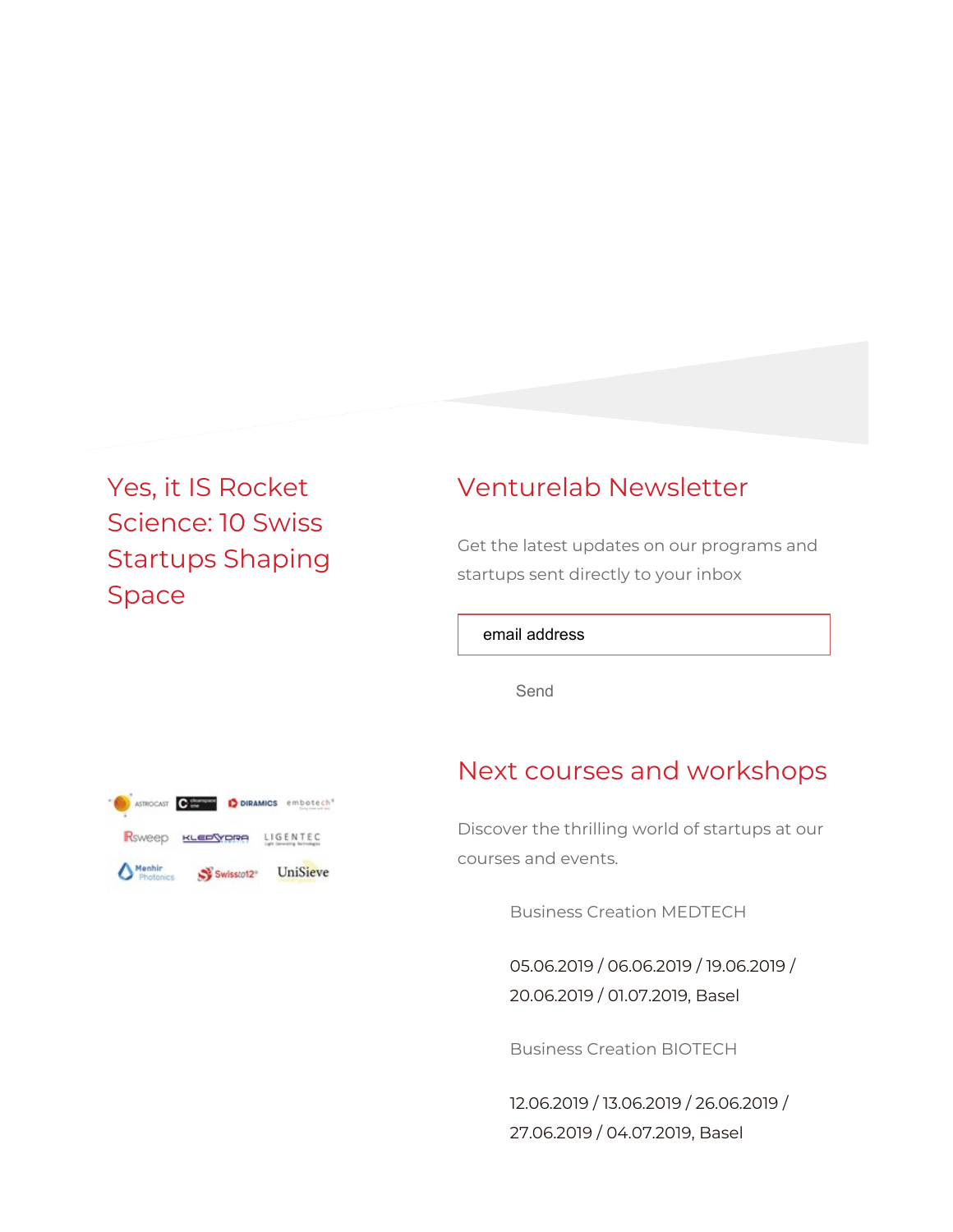# Yes, it IS Rocket Science: 10 Swiss Startups Shaping Space

## Venturelab Newsletter

Get the latest updates on our programs and startups sent directly to your inbox

email address

Send

## Next courses and workshops

Discover the thrilling world of startups at our courses and events.

Business Creation MEDTECH

05.06.2019 / 06.06.2019 / 19.06.2019 / 20.06.2019 / 01.07.2019, Basel

Business Creation BIOTECH

12.06.2019 / 13.06.2019 / 26.06.2019 / 27.06.2019 / 04.07.2019, Basel

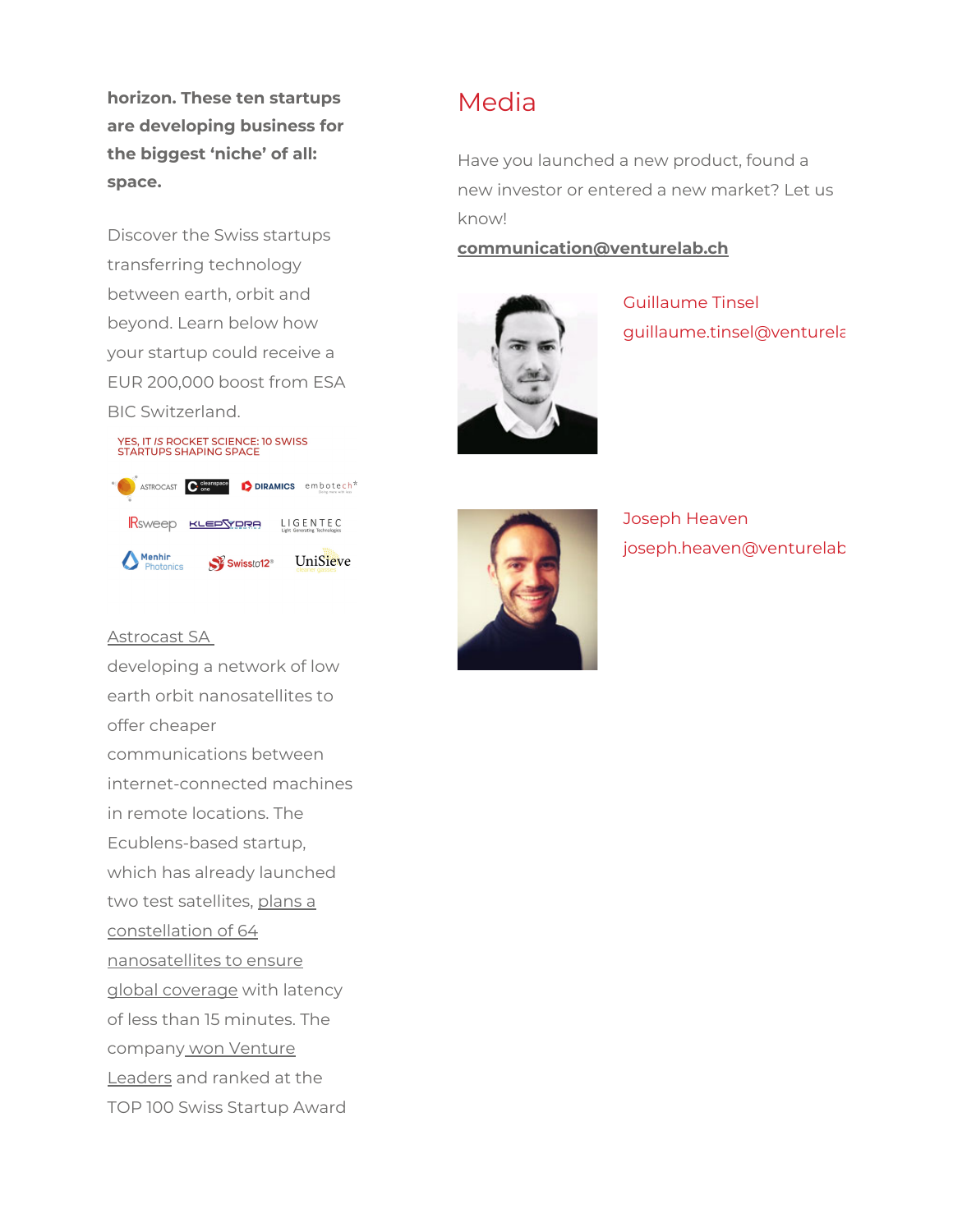horizon. These ten startups are developing business for the biggest 'niche' of all: space.

Discover the Swiss startups transferring technology between earth, orbit and beyond. Learn below how your startup could receive a EUR 200,000 boost from ESA BIC Switzerland.





### Astrocast SA

developing a network of low earth orbit nanosatellites to offer cheaper communications between internet-connected machines in remote locations. The Ecublens-based startup, which has already launched two test satellites, plans a constellation of 64 nanosatellites to ensure global coverage with latency of less than 15 minutes. The company won Venture Leaders and ranked at the TOP 100 Swiss Startup Award

### Media

Have you launched a new product, found a new investor or entered a new market? Let us know!

### communication@venturelab.ch



Guillaume Tinsel guillaume.tinsel@venturela



Joseph Heaven joseph.heaven@venturelab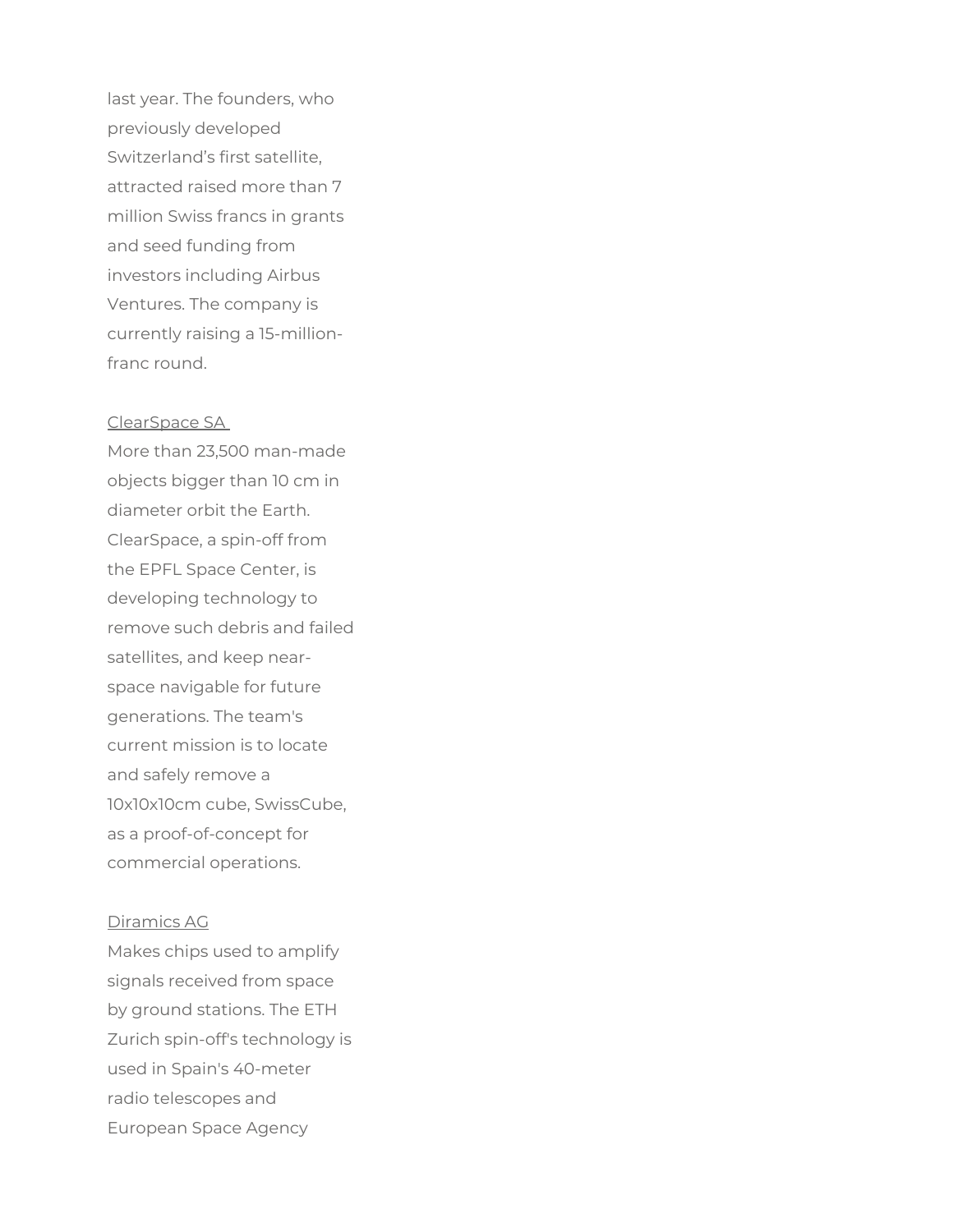last year. The founders, who previously developed Switzerland's first satellite, attracted raised more than 7 million Swiss francs in grants and seed funding from investors including Airbus Ventures. The company is currently raising a 15-millionfranc round.

#### ClearSpace SA

More than 23,500 man-made objects bigger than 10 cm in diameter orbit the Earth. ClearSpace, a spin-off from the EPFL Space Center, is developing technology to remove such debris and failed satellites, and keep nearspace navigable for future generations. The team's current mission is to locate and safely remove a 10x10x10cm cube, SwissCube, as a proof-of-concept for commercial operations.

#### Diramics AG

Makes chips used to amplify signals received from space by ground stations. The ETH Zurich spin-off's technology is used in Spain's 40-meter radio telescopes and European Space Agency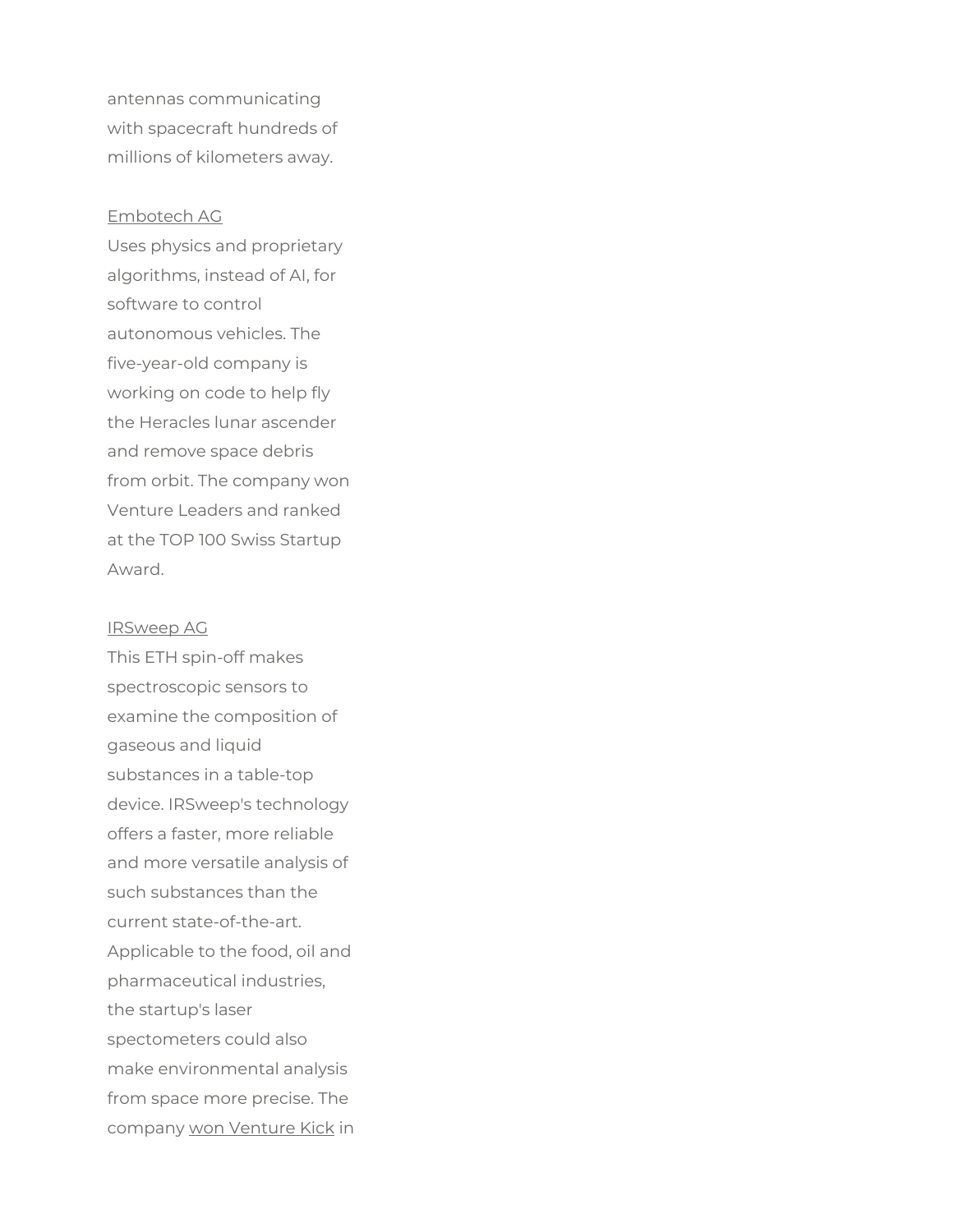antennas communicating with spacecraft hundreds of millions of kilometers away.

#### Embotech AG

Uses physics and proprietary algorithms, instead of AI, for software to control autonomous vehicles. The five-year-old company is working on code to help fly the Heracles lunar ascender and remove space debris from orbit. The company won Venture Leaders and ranked at the TOP 100 Swiss Startup Award.

IRSweep AG This ETH spin-off makes spectroscopic sensors to examine the composition of gaseous and liquid substances in a table-top device. IRSweep's technology offers a faster, more reliable and more versatile analysis of such substances than the current state-of-the-art. Applicable to the food, oil and pharmaceutical industries, the startup's laser spectometers could also make environmental analysis from space more precise. The company won Venture Kick in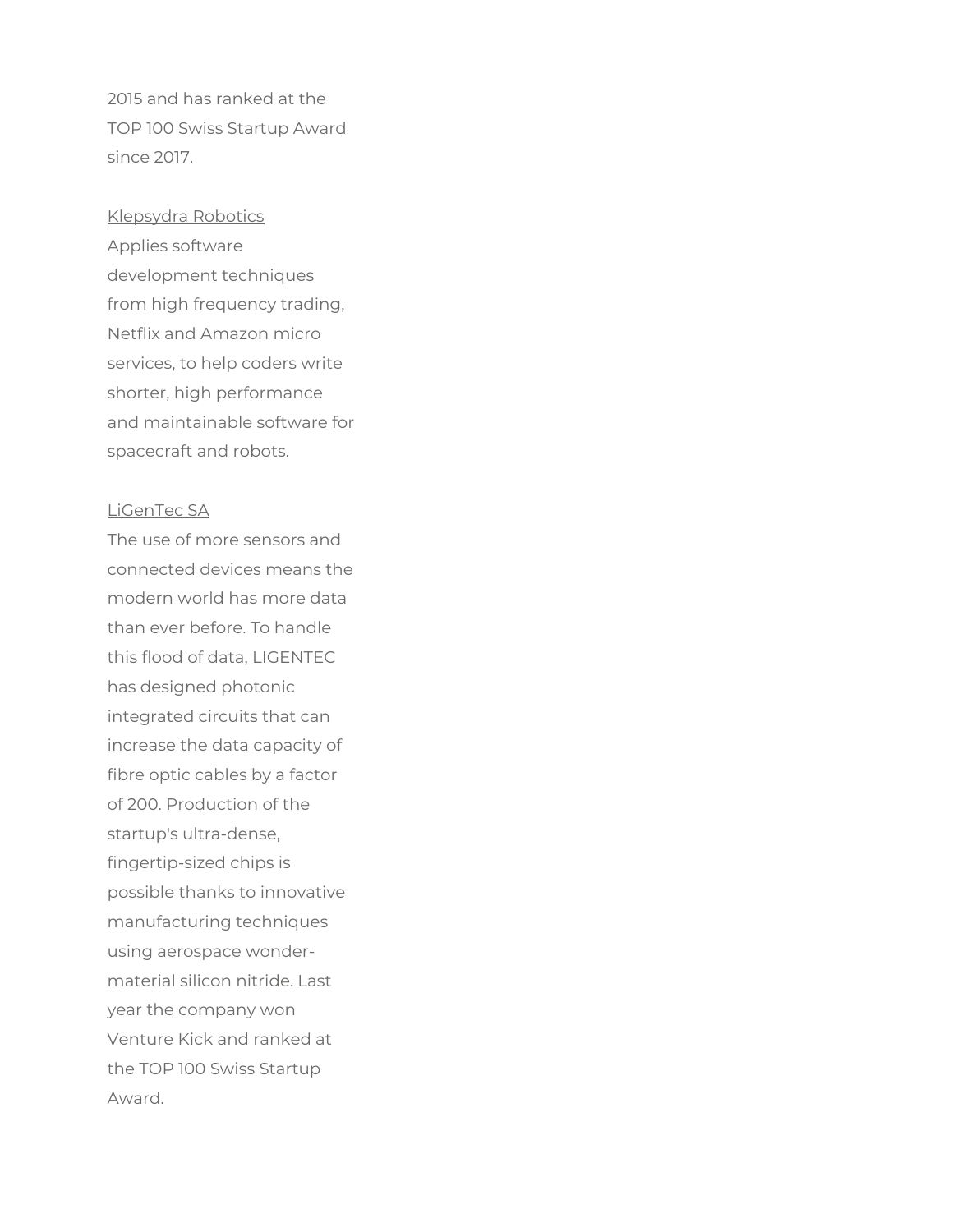2015 and has ranked at the TOP 100 Swiss Startup Award since 2017.

#### Klepsydra Robotics

Applies software development techniques from high frequency trading, Netflix and Amazon micro services, to help coders write shorter, high performance and maintainable software for spacecraft and robots.

#### LiGenTec SA

The use of more sensors and connected devices means the modern world has more data than ever before. To handle this flood of data, LIGENTEC has designed photonic integrated circuits that can increase the data capacity of fibre optic cables by a factor of 200. Production of the startup's ultra-dense, fingertip-sized chips is possible thanks to innovative manufacturing techniques using aerospace wondermaterial silicon nitride. Last year the company won Venture Kick and ranked at the TOP 100 Swiss Startup Award.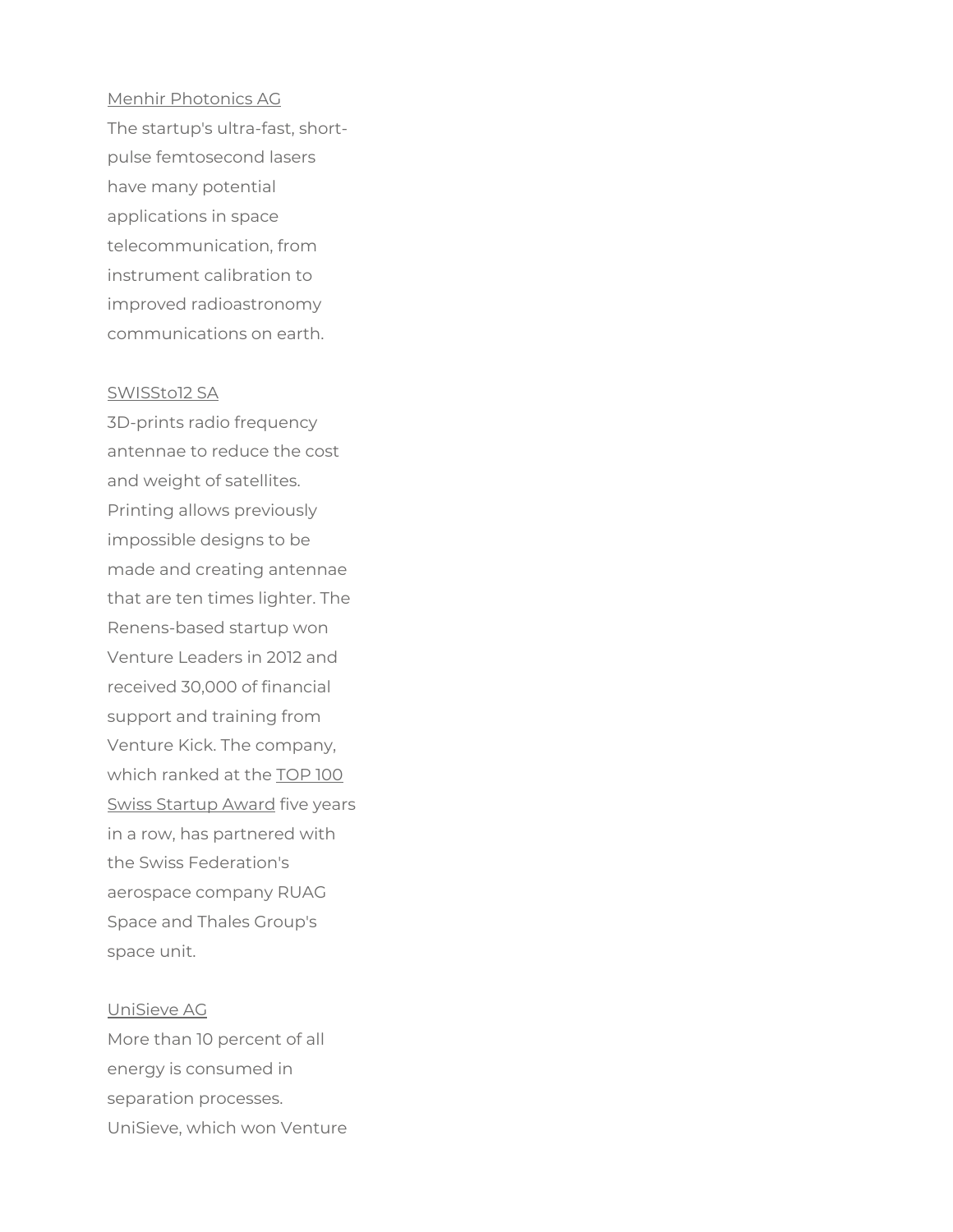# Menhir Photonics AG

The startup's ultra-fast, shortpulse femtosecond lasers have many potential applications in space telecommunication, from instrument calibration to improved radioastronomy communications on earth.

#### SWISSto12 SA

3D-prints radio frequency antennae to reduce the cost and weight of satellites. Printing allows previously impossible designs to be made and creating antennae that are ten times lighter. The Renens-based startup won Venture Leaders in 2012 and received 30,000 of financial support and training from Venture Kick. The company, which ranked at the TOP 100 Swiss Startup Award five years in a row, has partnered with the Swiss Federation's aerospace company RUAG Space and Thales Group's space unit.

#### UniSieve AG

More than 10 percent of all energy is consumed in separation processes. UniSieve, which won Venture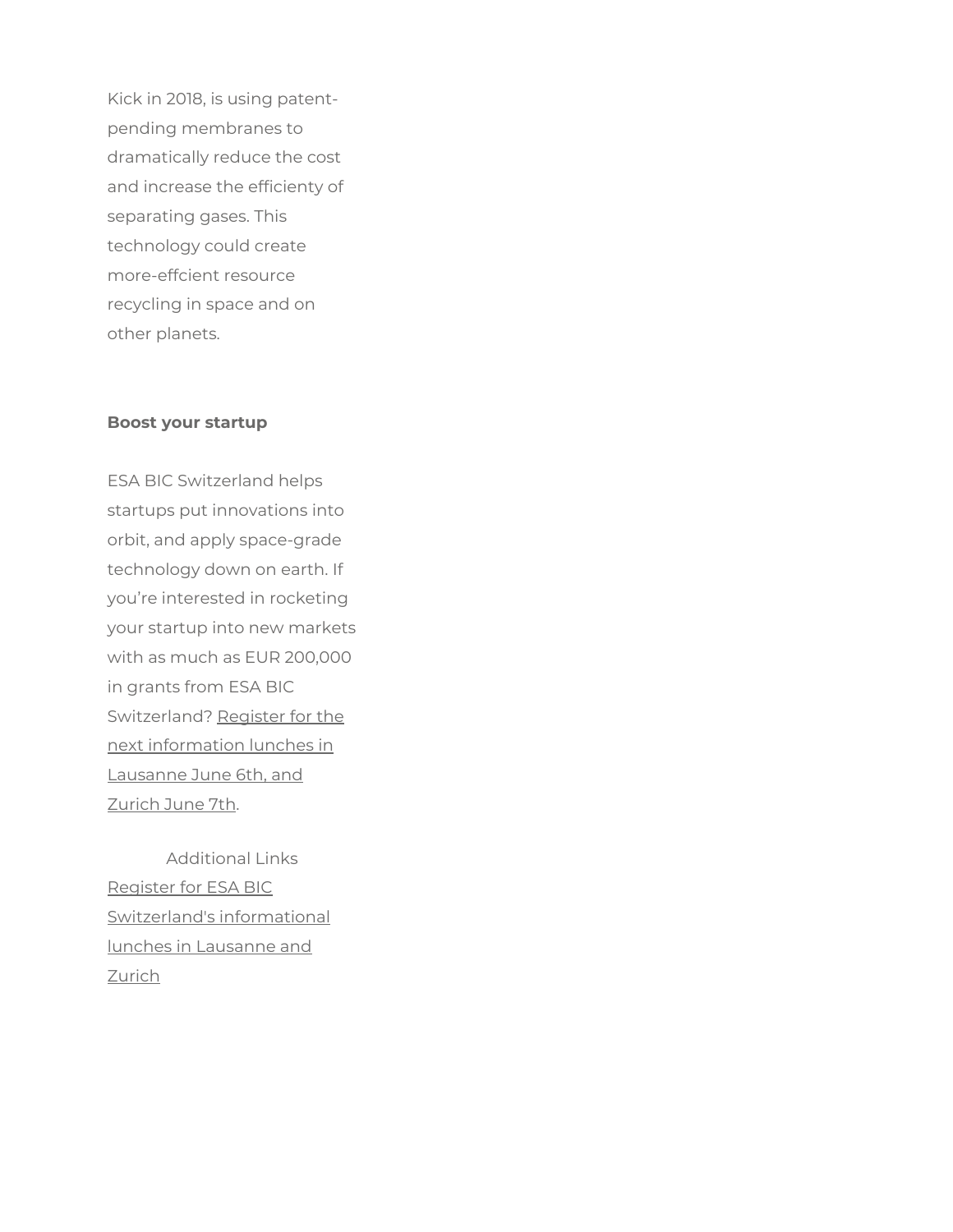Kick in 2018, is using patentpending membranes to dramatically reduce the cost and increase the efficienty of separating gases. This technology could create more-effcient resource recycling in space and on other planets.

#### Boost your startup

ESA BIC Switzerland helps startups put innovations into orbit, and apply space-grade technology down on earth. If you're interested in rocketing your startup into new markets with as much as EUR 200,000 in grants from ESA BIC Switzerland? Register for the next information lunches in Lausanne June 6th, and Zurich June 7th.

Additional Links Register for ESA BIC Switzerland's informational lunches in Lausanne and Zurich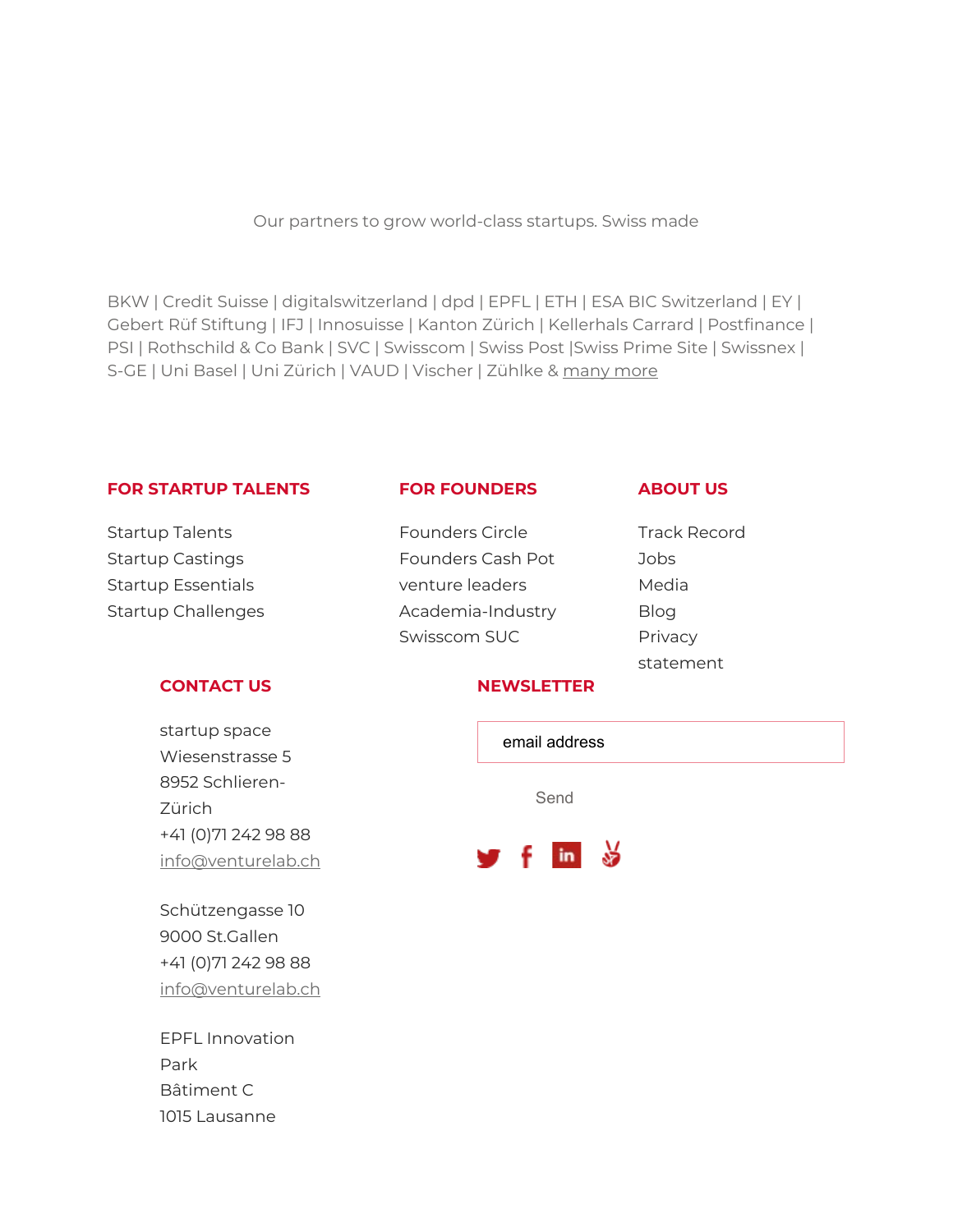Our partners to grow world-class startups. Swiss made

BKW | Credit Suisse | digitalswitzerland | dpd | EPFL | ETH | ESA BIC Switzerland | EY | Gebert Rüf Stiftung | IFJ | Innosuisse | Kanton Zürich | Kellerhals Carrard | Postfinance | PSI | Rothschild & Co Bank | SVC | Swisscom | Swiss Post |Swiss Prime Site | Swissnex | S-GE | Uni Basel | Uni Zürich | VAUD | Vischer | Zühlke & many more

#### FOR STARTUP TALENTS

#### FOR FOUNDERS

ABOUT US

Startup Talents Startup Castings Startup Essentials Startup Challenges

#### CONTACT US

startup space Wiesenstrasse 5 8952 Schlieren-Zürich +41 (0)71 242 98 88 info@venturelab.ch

Schützengasse 10 9000 St.Gallen +41 (0)71 242 98 88 info@venturelab.ch

EPFL Innovation Park Bâtiment C 1015 Lausanne

- Founders Circle Founders Cash Pot venture leaders Academia-Industry Swisscom SUC
- Track Record Jobs Media Blog **Privacy** statement

#### **NEWSLETTER**

| email address                    |
|----------------------------------|
| Send                             |
| $\frac{1}{2}$ f in $\frac{1}{2}$ |